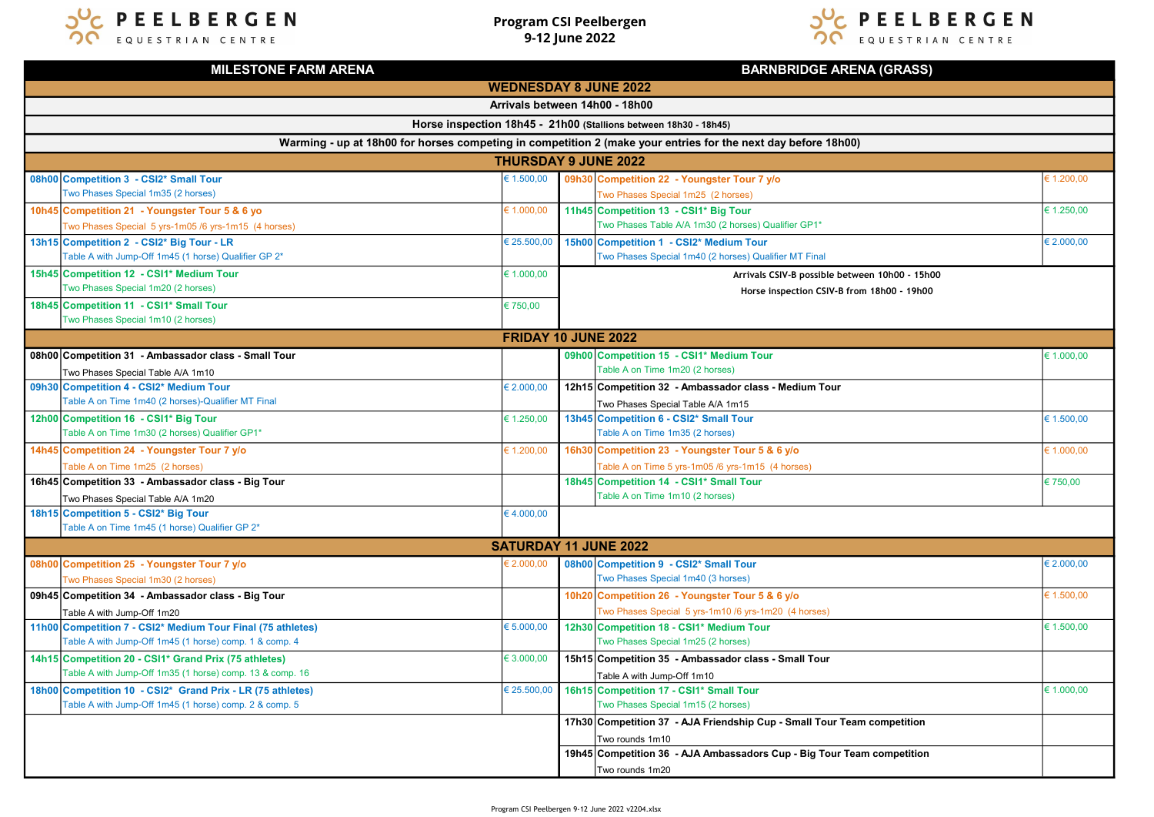

Program CSI Peelbergen 9-12 June 2022



| <b>MILESTONE FARM ARENA</b>                                                                                   |                                                                                                                       |                              | <b>BARNBRIDGE ARENA (GRASS)</b> |                                                                                |            |  |  |  |
|---------------------------------------------------------------------------------------------------------------|-----------------------------------------------------------------------------------------------------------------------|------------------------------|---------------------------------|--------------------------------------------------------------------------------|------------|--|--|--|
| <b>WEDNESDAY 8 JUNE 2022</b>                                                                                  |                                                                                                                       |                              |                                 |                                                                                |            |  |  |  |
| Arrivals between 14h00 - 18h00                                                                                |                                                                                                                       |                              |                                 |                                                                                |            |  |  |  |
| Horse inspection 18h45 - 21h00 (Stallions between 18h30 - 18h45)                                              |                                                                                                                       |                              |                                 |                                                                                |            |  |  |  |
| Warming - up at 18h00 for horses competing in competition 2 (make your entries for the next day before 18h00) |                                                                                                                       |                              |                                 |                                                                                |            |  |  |  |
| <b>THURSDAY 9 JUNE 2022</b>                                                                                   |                                                                                                                       |                              |                                 |                                                                                |            |  |  |  |
|                                                                                                               | 08h00 Competition 3 - CSI2* Small Tour                                                                                | € 1.500,00                   |                                 | 09h30 Competition 22 - Youngster Tour 7 y/o                                    | € 1.200,00 |  |  |  |
|                                                                                                               | Two Phases Special 1m35 (2 horses)                                                                                    |                              |                                 | Two Phases Special 1m25 (2 horses)                                             |            |  |  |  |
|                                                                                                               | 10h45 Competition 21 - Youngster Tour 5 & 6 yo                                                                        | € 1.000,00                   |                                 | 11h45 Competition 13 - CSI1* Big Tour                                          | € 1.250,00 |  |  |  |
|                                                                                                               | Two Phases Special 5 yrs-1m05 /6 yrs-1m15 (4 horses)                                                                  |                              |                                 | Two Phases Table A/A 1m30 (2 horses) Qualifier GP1*                            |            |  |  |  |
|                                                                                                               | 13h15 Competition 2 - CSI2* Big Tour - LR                                                                             | € 25.500,00                  |                                 | 15h00 Competition 1 - CSI2* Medium Tour                                        | € 2.000,00 |  |  |  |
|                                                                                                               | Table A with Jump-Off 1m45 (1 horse) Qualifier GP 2*                                                                  |                              |                                 | Two Phases Special 1m40 (2 horses) Qualifier MT Final                          |            |  |  |  |
|                                                                                                               | 15h45 Competition 12 - CSI1* Medium Tour                                                                              | € 1.000,00                   |                                 | Arrivals CSIV-B possible between 10h00 - 15h00                                 |            |  |  |  |
|                                                                                                               | Two Phases Special 1m20 (2 horses)                                                                                    |                              |                                 | Horse inspection CSIV-B from 18h00 - 19h00                                     |            |  |  |  |
|                                                                                                               | 18h45 Competition 11 - CSI1* Small Tour                                                                               | € 750,00                     |                                 |                                                                                |            |  |  |  |
|                                                                                                               | Two Phases Special 1m10 (2 horses)                                                                                    |                              |                                 |                                                                                |            |  |  |  |
|                                                                                                               | FRIDAY 10 JUNE 2022                                                                                                   |                              |                                 |                                                                                |            |  |  |  |
|                                                                                                               | 08h00 Competition 31 - Ambassador class - Small Tour                                                                  |                              |                                 | 09h00 Competition 15 - CSI1* Medium Tour<br>Table A on Time 1m20 (2 horses)    | € 1.000,00 |  |  |  |
|                                                                                                               | Two Phases Special Table A/A 1m10<br>09h30 Competition 4 - CSI2* Medium Tour                                          | € 2.000,00                   |                                 | 12h15 Competition 32 - Ambassador class - Medium Tour                          |            |  |  |  |
|                                                                                                               | Table A on Time 1m40 (2 horses)-Qualifier MT Final                                                                    |                              |                                 | Two Phases Special Table A/A 1m15                                              |            |  |  |  |
|                                                                                                               | 12h00 Competition 16 - CSI1* Big Tour                                                                                 | € 1.250,00                   |                                 | 13h45 Competition 6 - CSI2* Small Tour                                         | € 1.500,00 |  |  |  |
|                                                                                                               | Table A on Time 1m30 (2 horses) Qualifier GP1*                                                                        |                              |                                 | Table A on Time 1m35 (2 horses)                                                |            |  |  |  |
|                                                                                                               | 14h45 Competition 24 - Youngster Tour 7 y/o                                                                           | € 1.200,00                   |                                 | 16h30 Competition 23 - Youngster Tour 5 & 6 y/o                                | € 1.000,00 |  |  |  |
|                                                                                                               | Table A on Time 1m25 (2 horses)                                                                                       |                              |                                 | Table A on Time 5 yrs-1m05 /6 yrs-1m15 (4 horses)                              |            |  |  |  |
|                                                                                                               | 16h45 Competition 33 - Ambassador class - Big Tour                                                                    |                              |                                 | 18h45 Competition 14 - CSI1* Small Tour                                        | € 750,00   |  |  |  |
|                                                                                                               | Two Phases Special Table A/A 1m20                                                                                     |                              |                                 | Table A on Time 1m10 (2 horses)                                                |            |  |  |  |
|                                                                                                               | 18h15 Competition 5 - CSI2* Big Tour                                                                                  | €4.000,00                    |                                 |                                                                                |            |  |  |  |
|                                                                                                               | Table A on Time 1m45 (1 horse) Qualifier GP 2*                                                                        |                              |                                 |                                                                                |            |  |  |  |
|                                                                                                               |                                                                                                                       | <b>SATURDAY 11 JUNE 2022</b> |                                 |                                                                                |            |  |  |  |
|                                                                                                               | 08h00 Competition 25 - Youngster Tour 7 y/o                                                                           | € 2.000,00                   |                                 | 08h00 Competition 9 - CSI2* Small Tour                                         | € 2.000,00 |  |  |  |
|                                                                                                               | Two Phases Special 1m30 (2 horses)                                                                                    |                              |                                 | Two Phases Special 1m40 (3 horses)                                             |            |  |  |  |
|                                                                                                               | 09h45 Competition 34 - Ambassador class - Big Tour                                                                    |                              |                                 | 10h20 Competition 26 - Youngster Tour 5 & 6 y/o                                | € 1.500,00 |  |  |  |
|                                                                                                               | Table A with Jump-Off 1m20                                                                                            |                              |                                 | Two Phases Special 5 yrs-1m10 /6 yrs-1m20 (4 horses)                           |            |  |  |  |
|                                                                                                               | 11h00 Competition 7 - CSI2* Medium Tour Final (75 athletes)<br>Table A with Jump-Off 1m45 (1 horse) comp. 1 & comp. 4 | € 5.000,00                   |                                 | 12h30 Competition 18 - CSI1* Medium Tour<br>Two Phases Special 1m25 (2 horses) | € 1.500,00 |  |  |  |
|                                                                                                               | 14h15 Competition 20 - CSI1* Grand Prix (75 athletes)                                                                 | € 3.000,00                   |                                 |                                                                                |            |  |  |  |
|                                                                                                               | Table A with Jump-Off 1m35 (1 horse) comp. 13 & comp. 16                                                              |                              |                                 | 15h15 Competition 35 - Ambassador class - Small Tour                           |            |  |  |  |
|                                                                                                               | 18h00 Competition 10 - CSI2* Grand Prix - LR (75 athletes)                                                            | € 25.500,00                  |                                 | Table A with Jump-Off 1m10<br>16h15 Competition 17 - CSI1* Small Tour          | € 1.000,00 |  |  |  |
|                                                                                                               | Table A with Jump-Off 1m45 (1 horse) comp. 2 & comp. 5                                                                |                              |                                 | Two Phases Special 1m15 (2 horses)                                             |            |  |  |  |
|                                                                                                               |                                                                                                                       |                              |                                 | 17h30 Competition 37 - AJA Friendship Cup - Small Tour Team competition        |            |  |  |  |
|                                                                                                               |                                                                                                                       |                              |                                 | Two rounds 1m10                                                                |            |  |  |  |
|                                                                                                               |                                                                                                                       |                              |                                 | 19h45 Competition 36 - AJA Ambassadors Cup - Big Tour Team competition         |            |  |  |  |
|                                                                                                               |                                                                                                                       |                              |                                 | Two rounds 1m20                                                                |            |  |  |  |